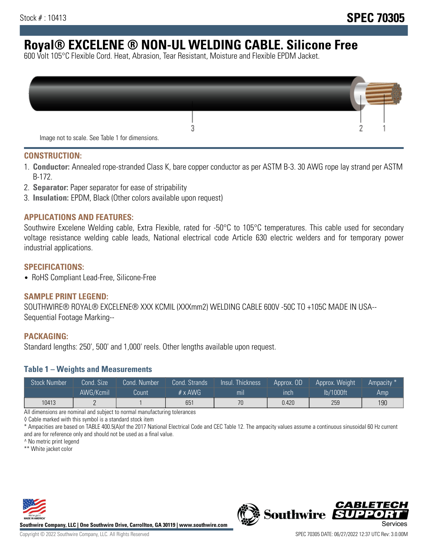# **Royal® EXCELENE ® NON-UL WELDING CABLE. Silicone Free**

600 Volt 105°C Flexible Cord. Heat, Abrasion, Tear Resistant, Moisture and Flexible EPDM Jacket.

| Image not to scale. See Table 1 for dimensions. |  |
|-------------------------------------------------|--|

#### **CONSTRUCTION:**

- 1. **Conductor:** Annealed rope-stranded Class K, bare copper conductor as per ASTM B-3. 30 AWG rope lay strand per ASTM B-172.
- 2. **Separator:** Paper separator for ease of stripability
- 3. **Insulation:** EPDM, Black (Other colors available upon request)

#### **APPLICATIONS AND FEATURES:**

Southwire Excelene Welding cable, Extra Flexible, rated for -50°C to 105°C temperatures. This cable used for secondary voltage resistance welding cable leads, National electrical code Article 630 electric welders and for temporary power industrial applications.

#### **SPECIFICATIONS:**

• RoHS Compliant Lead-Free, Silicone-Free

#### **SAMPLE PRINT LEGEND:**

SOUTHWIRE® ROYAL® EXCELENE® XXX KCMIL (XXXmm2) WELDING CABLE 600V -50C TO +105C MADE IN USA-- Sequential Footage Marking--

#### **PACKAGING:**

Standard lengths: 250', 500' and 1,000' reels. Other lengths available upon request.

#### **Table 1 – Weights and Measurements**

| <b>Stock Number</b> | Cond. Size | Cond. Number | Cond. Strands   | Insul. Thickness | Approx. OD | Approx. Weight | "Ampacity" |
|---------------------|------------|--------------|-----------------|------------------|------------|----------------|------------|
|                     | AWG/Kcmil  | Count        | $# \times$ AWG  | mıl              | ınch       | lb/1000ft      | Amp        |
| 10413               |            |              | 65 <sup>′</sup> | 70               | 0.420      | 259            | 190        |

All dimensions are nominal and subject to normal manufacturing tolerances

◊ Cable marked with this symbol is a standard stock item

\* Ampacities are based on TABLE 400.5(A)of the 2017 National Electrical Code and CEC Table 12. The ampacity values assume a continuous sinusoidal 60 Hz current and are for reference only and should not be used as a final value.

^ No metric print legend

\*\* White jacket color



**Southwire Company, LLC | One Southwire Drive, Carrollton, GA 30119 | www.southwire.com**



*CABLETE*